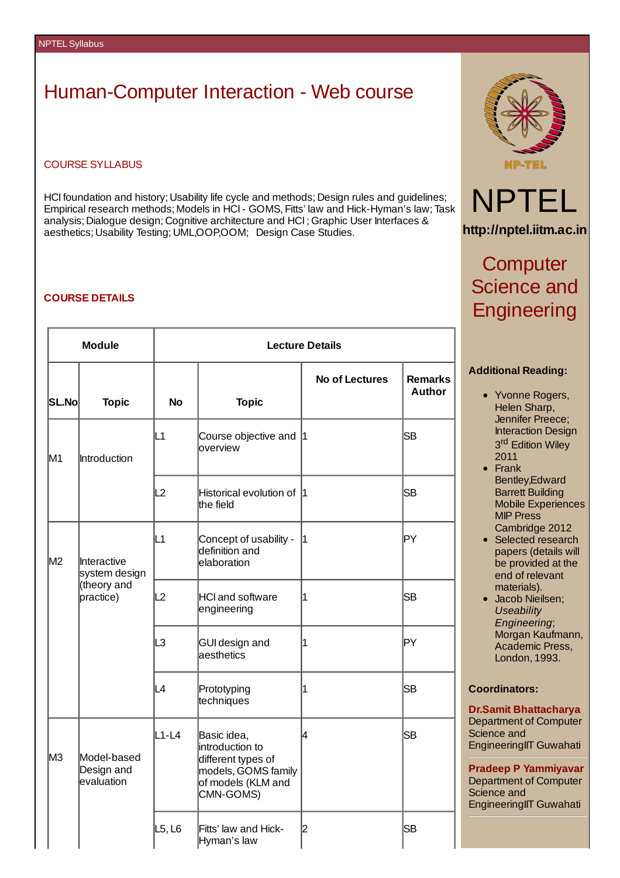# Human-Computer Interaction - Web course

#### COURSE SYLLABUS

HCI foundation and history; Usability life cycle and methods; Design rules and guidelines; Empirical research methods; Models in HCI- GOMS, Fitts' law and Hick-Hyman's law; Task analysis; Dialogue design; Cognitive architecture and HCI ; Graphic User Interfaces & aesthetics; Usability Testing; UML,OOP,OOM; Design Case Studies.

#### **COURSE DETAILS**

| <b>Module</b> |                                                          | <b>Lecture Details</b> |                                                                                                                |                       |                                 |  |
|---------------|----------------------------------------------------------|------------------------|----------------------------------------------------------------------------------------------------------------|-----------------------|---------------------------------|--|
| SL.Nol        | <b>Topic</b>                                             | <b>No</b>              | <b>Topic</b>                                                                                                   | <b>No of Lectures</b> | <b>Remarks</b><br><b>Author</b> |  |
| M1            | Introduction                                             | L1                     | Course objective and $ 1 $<br>overview                                                                         |                       | <b>SB</b>                       |  |
|               |                                                          | L2                     | Historical evolution of 1<br>the field                                                                         |                       | SВ                              |  |
| M2            | Interactive<br>system design<br>(theory and<br>practice) | L1                     | Concept of usability -<br>definition and<br>lelaboration                                                       | 1                     | ∣PY                             |  |
|               |                                                          | L2                     | HCI and software<br>engineering                                                                                | $\overline{1}$        | <b>SB</b>                       |  |
|               |                                                          | LЗ                     | <b>GUI design and</b><br>laesthetics                                                                           | 1                     | ļΡY                             |  |
|               |                                                          | L4                     | Prototyping<br>techniques                                                                                      | $\mathbf 1$           | lSВ                             |  |
| lмз           | Model-based<br>Design and<br>evaluation                  | L1-L4                  | Basic idea,<br>introduction to<br>different types of<br>models, GOMS family<br>of models (KLM and<br>CMN-GOMS) | 4                     | SB                              |  |
|               |                                                          | L5, L6                 | Fitts' law and Hick-<br>Hyman's law                                                                            | 2                     | SB                              |  |





**http://nptel.iitm.ac.in**

## **Computer** Science and **Engineering**

### **Additional Reading:**

- Yvonne Rogers, Helen Sharp, Jennifer Preece; Interaction Design 3<sup>rd</sup> Edition Wiley 2011
- Frank Bentley,Edward Barrett Building Mobile Experiences MIP Press Cambridge 2012
- Selected research papers (details will be provided at the end of relevant materials).
- Jacob Nieilsen; *Useability Engineering*; Morgan Kaufmann, Academic Press, London, 1993.

## **Coordinators:**

**Dr.Samit Bhattacharya** Department of Computer Science and EngineeringIIT Guwahati

**Pradeep P Yammiyavar** Department of Computer Science and EngineeringIIT Guwahati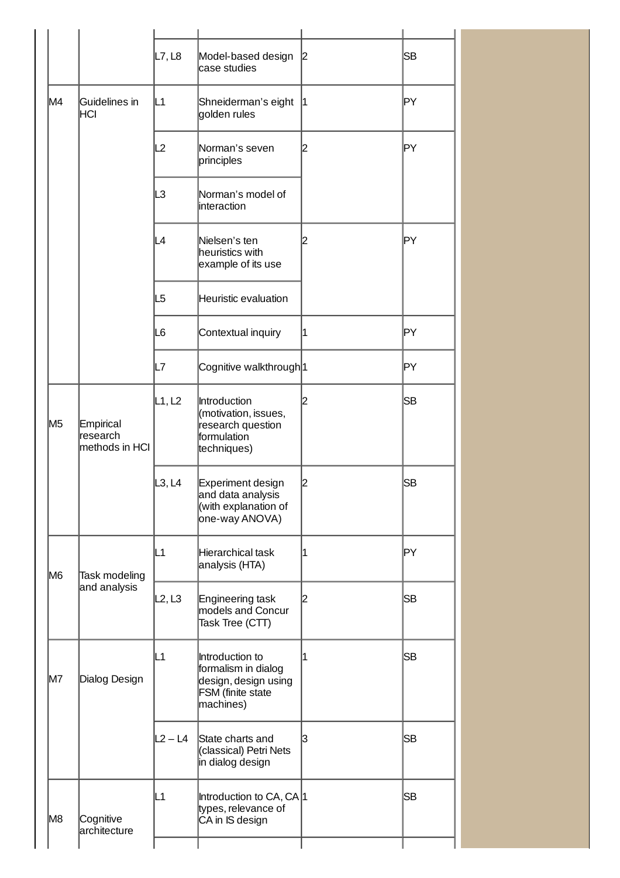|                |                                          | L7, L8    | Model-based design<br>lcase studies                                                              | 2 | SВ  |
|----------------|------------------------------------------|-----------|--------------------------------------------------------------------------------------------------|---|-----|
| M4             | Guidelines in<br> HCI                    | L1        | Shneiderman's eight<br>golden rules                                                              | 1 | PΥ  |
|                |                                          | L2        | Norman's seven <br>principles                                                                    | 2 | ∣PY |
|                |                                          | L3        | Norman's model of<br>linteraction                                                                |   |     |
|                |                                          | L4        | Nielsen's ten<br>heuristics with<br>example of its use                                           | 2 | PΥ  |
|                |                                          | L5        | Heuristic evaluation                                                                             |   |     |
|                |                                          | IL6       | Contextual inquiry                                                                               | 1 | ļΡY |
|                |                                          | IL7       | Cognitive walkthrough <sup>1</sup>                                                               |   | PΥ  |
| M <sub>5</sub> | Empirical<br>lresearch<br>methods in HCI | L1, L2    | Introduction<br>(motivation, issues,<br>research question<br>formulation<br>techniques)          | 2 | SВ  |
|                |                                          | L3, L4    | Experiment design<br>and data analysis<br>(with explanation of<br>one-way ANOVA)                 | 2 | SB  |
| M6             | Task modeling<br>and analysis            | L1        | Hierarchical task<br>analysis (HTA)                                                              | 1 | PΥ  |
|                |                                          | L2, L3    | Engineering task<br>models and Concur<br>Task Tree (CTT)                                         | 2 | SB  |
| M7             | Dialog Design                            | L1        | Introduction to<br>formalism in dialog<br>design, design using<br>FSM (finite state<br>machines) | 1 | SB  |
|                |                                          | $L2 - L4$ | State charts and<br>(classical) Petri Nets<br>in dialog design                                   | 3 | SB  |
| M8             | Cognitive<br>architecture                | L1        | Introduction to CA, CA 1<br>types, relevance of<br>CA in IS design                               |   | SB  |
|                |                                          |           |                                                                                                  |   |     |